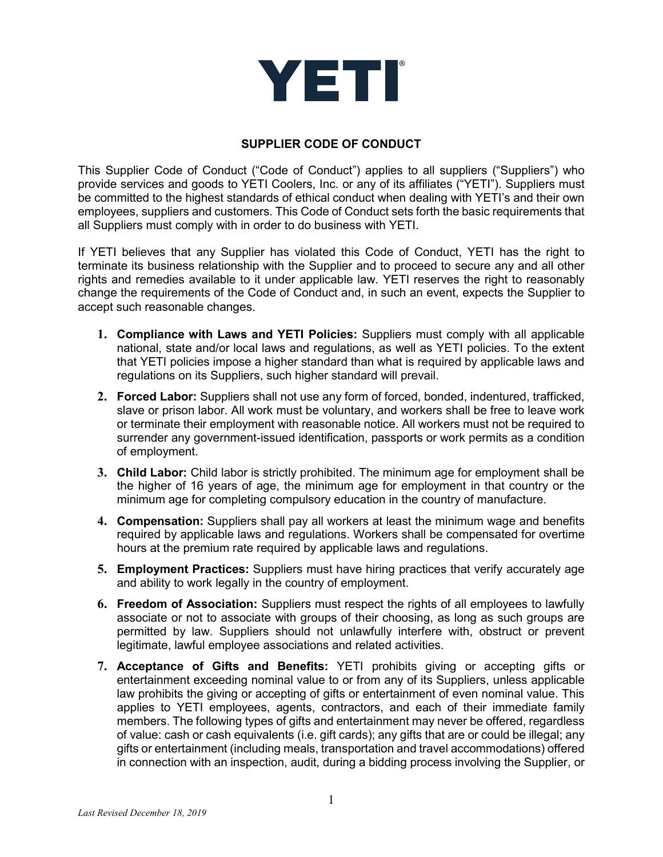

## **SUPPLIER CODE OF CONDUCT**

This Supplier Code of Conduct ("Code of Conduct") applies to all suppliers ("Suppliers") who provide services and goods to YETI Coolers, Inc. or any of its affiliates ("YETI"). Suppliers must be committed to the highest standards of ethical conduct when dealing with YETI's and their own employees, suppliers and customers. This Code of Conduct sets forth the basic requirements that all Suppliers must comply with in order to do business with YETI.

If YETI believes that any Supplier has violated this Code of Conduct, YETI has the right to terminate its business relationship with the Supplier and to proceed to secure any and all other rights and remedies available to it under applicable law. YETI reserves the right to reasonably change the requirements of the Code of Conduct and, in such an event, expects the Supplier to accept such reasonable changes.

- **1. Compliance with Laws and YETI Policies:** Suppliers must comply with all applicable national, state and/or local laws and regulations, as well as YETI policies. To the extent that YETI policies impose a higher standard than what is required by applicable laws and regulations on its Suppliers, such higher standard will prevail.
- **2. Forced Labor:** Suppliers shall not use any form of forced, bonded, indentured, trafficked, slave or prison labor. All work must be voluntary, and workers shall be free to leave work or terminate their employment with reasonable notice. All workers must not be required to surrender any government-issued identification, passports or work permits as a condition of employment.
- **3. Child Labor:** Child labor is strictly prohibited. The minimum age for employment shall be the higher of 16 years of age, the minimum age for employment in that country or the minimum age for completing compulsory education in the country of manufacture.
- **4. Compensation:** Suppliers shall pay all workers at least the minimum wage and benefits required by applicable laws and regulations. Workers shall be compensated for overtime hours at the premium rate required by applicable laws and regulations.
- **5. Employment Practices:** Suppliers must have hiring practices that verify accurately age and ability to work legally in the country of employment.
- **6. Freedom of Association:** Suppliers must respect the rights of all employees to lawfully associate or not to associate with groups of their choosing, as long as such groups are permitted by law. Suppliers should not unlawfully interfere with, obstruct or prevent legitimate, lawful employee associations and related activities.
- **7. Acceptance of Gifts and Benefits:** YETI prohibits giving or accepting gifts or entertainment exceeding nominal value to or from any of its Suppliers, unless applicable law prohibits the giving or accepting of gifts or entertainment of even nominal value. This applies to YETI employees, agents, contractors, and each of their immediate family members. The following types of gifts and entertainment may never be offered, regardless of value: cash or cash equivalents (i.e. gift cards); any gifts that are or could be illegal; any gifts or entertainment (including meals, transportation and travel accommodations) offered in connection with an inspection, audit, during a bidding process involving the Supplier, or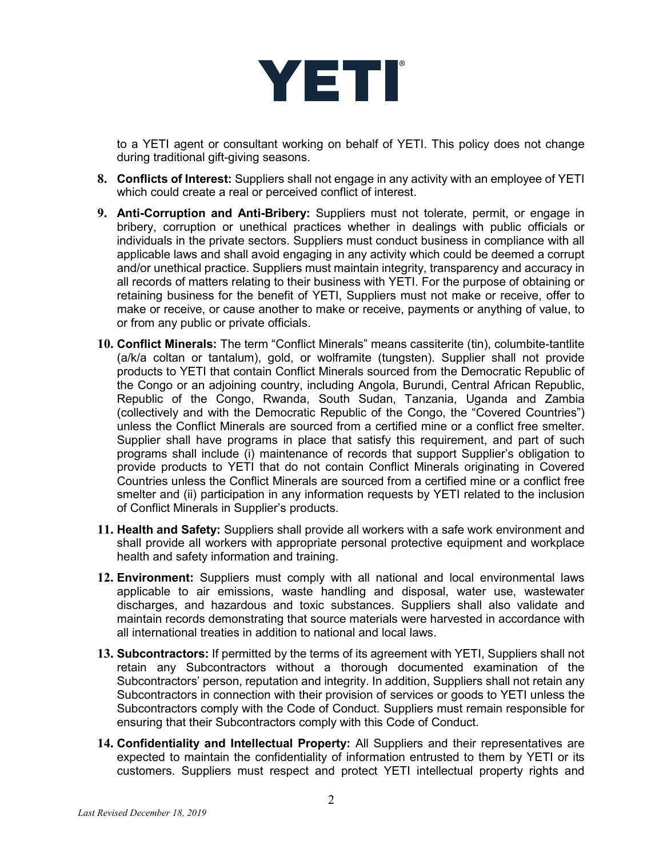

to a YETI agent or consultant working on behalf of YETI. This policy does not change during traditional gift-giving seasons.

- **8. Conflicts of Interest:** Suppliers shall not engage in any activity with an employee of YETI which could create a real or perceived conflict of interest.
- **9. Anti-Corruption and Anti-Bribery:** Suppliers must not tolerate, permit, or engage in bribery, corruption or unethical practices whether in dealings with public officials or individuals in the private sectors. Suppliers must conduct business in compliance with all applicable laws and shall avoid engaging in any activity which could be deemed a corrupt and/or unethical practice. Suppliers must maintain integrity, transparency and accuracy in all records of matters relating to their business with YETI. For the purpose of obtaining or retaining business for the benefit of YETI, Suppliers must not make or receive, offer to make or receive, or cause another to make or receive, payments or anything of value, to or from any public or private officials.
- **10. Conflict Minerals:** The term "Conflict Minerals" means cassiterite (tin), columbite-tantlite (a/k/a coltan or tantalum), gold, or wolframite (tungsten). Supplier shall not provide products to YETI that contain Conflict Minerals sourced from the Democratic Republic of the Congo or an adjoining country, including Angola, Burundi, Central African Republic, Republic of the Congo, Rwanda, South Sudan, Tanzania, Uganda and Zambia (collectively and with the Democratic Republic of the Congo, the "Covered Countries") unless the Conflict Minerals are sourced from a certified mine or a conflict free smelter. Supplier shall have programs in place that satisfy this requirement, and part of such programs shall include (i) maintenance of records that support Supplier's obligation to provide products to YETI that do not contain Conflict Minerals originating in Covered Countries unless the Conflict Minerals are sourced from a certified mine or a conflict free smelter and (ii) participation in any information requests by YETI related to the inclusion of Conflict Minerals in Supplier's products.
- **11. Health and Safety:** Suppliers shall provide all workers with a safe work environment and shall provide all workers with appropriate personal protective equipment and workplace health and safety information and training.
- **12. Environment:** Suppliers must comply with all national and local environmental laws applicable to air emissions, waste handling and disposal, water use, wastewater discharges, and hazardous and toxic substances. Suppliers shall also validate and maintain records demonstrating that source materials were harvested in accordance with all international treaties in addition to national and local laws.
- **13. Subcontractors:** If permitted by the terms of its agreement with YETI, Suppliers shall not retain any Subcontractors without a thorough documented examination of the Subcontractors' person, reputation and integrity. In addition, Suppliers shall not retain any Subcontractors in connection with their provision of services or goods to YETI unless the Subcontractors comply with the Code of Conduct. Suppliers must remain responsible for ensuring that their Subcontractors comply with this Code of Conduct.
- **14. Confidentiality and Intellectual Property:** All Suppliers and their representatives are expected to maintain the confidentiality of information entrusted to them by YETI or its customers. Suppliers must respect and protect YETI intellectual property rights and